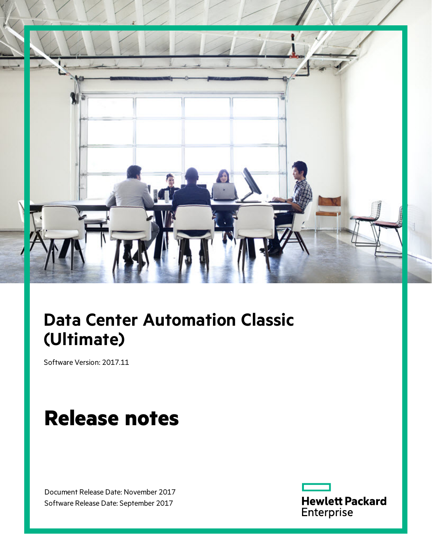

# **Data Center Automation Classic (Ultimate)**

Software Version: 2017.11

# **Release notes**

Document Release Date: November 2017 Software Release Date: September 2017

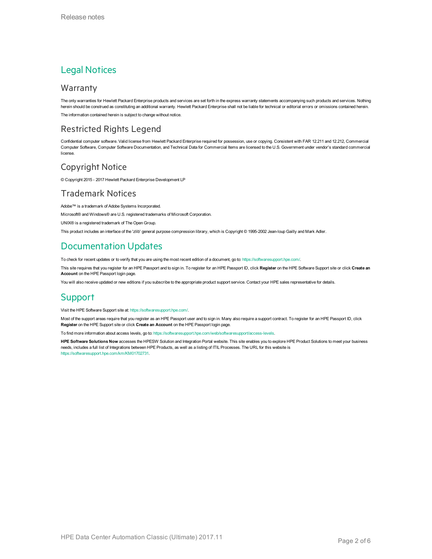### Legal Notices

#### Warranty

The only warranties for Hewlett Packard Enterprise products and services are set forth in the express warranty statements accompanying such products and services. Nothing herein should be construed as constituting an additional warranty. Hewlett Packard Enterprise shall not be liable for technical or editorial errors or omissions contained herein. The information contained herein is subject to change without notice.

#### Restricted Rights Legend

Confidential computer software. Valid license from Hewlett Packard Enterprise required for possession, use or copying. Consistent with FAR 12.211 and 12.212, Commercial Computer Software, Computer Software Documentation, and Technical Data for Commercial Items are licensed to the U.S. Government under vendor's standard commercial license.

#### Copyright Notice

© Copyright 2015 - 2017 Hewlett Packard Enterprise Development LP

#### Trademark Notices

Adobe™ is a trademark of Adobe Systems Incorporated.

Microsoft® and Windows® are U.S. registered trademarks of Microsoft Corporation.

UNIX® is a registered trademark of The Open Group.

This product includes an interface of the 'zlib' general purpose compression library, which is Copyright © 1995-2002 Jean-loup Gailly and Mark Adler.

### Documentation Updates

To check for recent updates or to verify that you are using the most recent edition of a document, go to: <https://softwaresupport.hpe.com/>.

This site requires that you register for an HPE Passport and to sign in. To register for an HPE Passport ID, click **Register** on the HPE Software Support site or click **Create an Account** on the HPE Passport login page.

You will also receive updated or new editions if you subscribe to the appropriate product support service. Contact your HPE sales representative for details.

#### Support

Visit the HPE Software Support site at: <https://softwaresupport.hpe.com/>.

Most of the support areas require that you register as an HPE Passport user and to sign in. Many also require a support contract. To register for an HPE Passport ID, click **Register** on the HPE Support site or click **Create an Account** on the HPE Passport login page.

To find more information about access levels, go to: <https://softwaresupport.hpe.com/web/softwaresupport/access-levels>.

**HPE Software Solutions Now** accesses the HPESW Solution and Integration Portal website. This site enables you to explore HPE Product Solutions to meet your business needs, includes a full list of Integrations between HPE Products, as well as a listing of ITIL Processes. The URL for this website is [https://softwaresupport.hpe.com/km/KM01702731.](https://softwaresupport.hpe.com/km/KM01702731)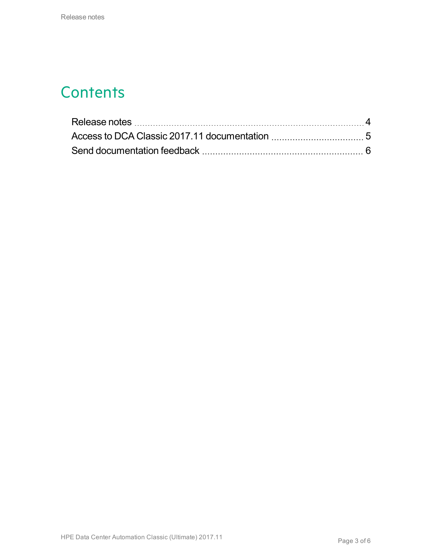### **Contents**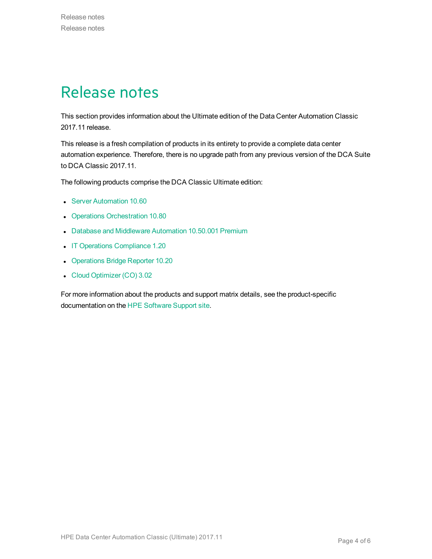### <span id="page-3-0"></span>Release notes

This section provides information about the Ultimate edition of the Data Center Automation Classic 2017.11 release.

This release is a fresh compilation of products in its entirety to provide a complete data center automation experience. Therefore, there is no upgrade path from any previous version of the DCA Suite to DCA Classic 2017.11.

The following products comprise the DCA Classic Ultimate edition:

- **.** Server [Automation](https://docs.software.hpe.com/SA/10.60/Content/Release_Notes/release_notes.htm) 10.60
- Operations [Orchestration](http://docs.software.hpe.com/OO/10.80/Content/ReleaseNotes_Welcome.htm) 10.80
- Database and [Middleware](https://docs.software.hpe.com/DMA/10.50.001/Premium/Content/Home.htm) Automation 10.50.001 Premium
- IT Operations [Compliance](http://docs.software.hpe.com/ITOC/1.20/Content/ITOC_Content/release_notes_cover_page.htm) 1.20
- [Operations](https://docs.software.hpe.com/OBR/10.20/Content/Home.htm) Bridge Reporter 10.20
- Cloud [Optimizer](http://docs.software.hpe.com/CO/3.02/Content/ReleaseNotes1.htm) (CO) 3.02

For more information about the products and support matrix details, see the product-specific documentation on the HPE [Software](https://softwaresupport.softwaregrp.com/) Support site.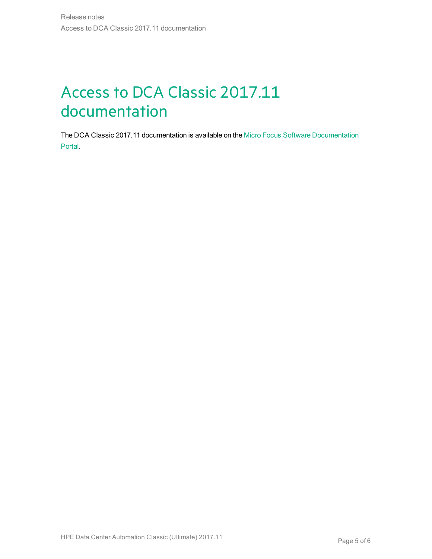# <span id="page-4-0"></span>Access to DCA Classic 2017.11 documentation

The DCA Classic 2017.11 documentation is available on the Micro Focus Software [Documentation](http://docs.software.hpe.com/) [Portal.](http://docs.software.hpe.com/)